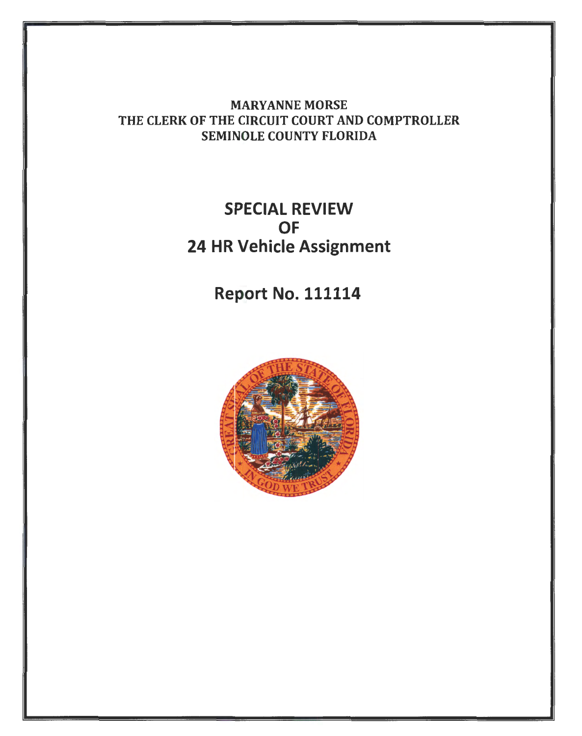MARYANNE MORSE THE CLERK OF THE CIRCUIT COURT AND COMPTROLLER SEMINOLE COUNTY FLORIDA

## SPECIAL REVIEW **OF** 24 HR Vehicle Assignment

Report No. 111114

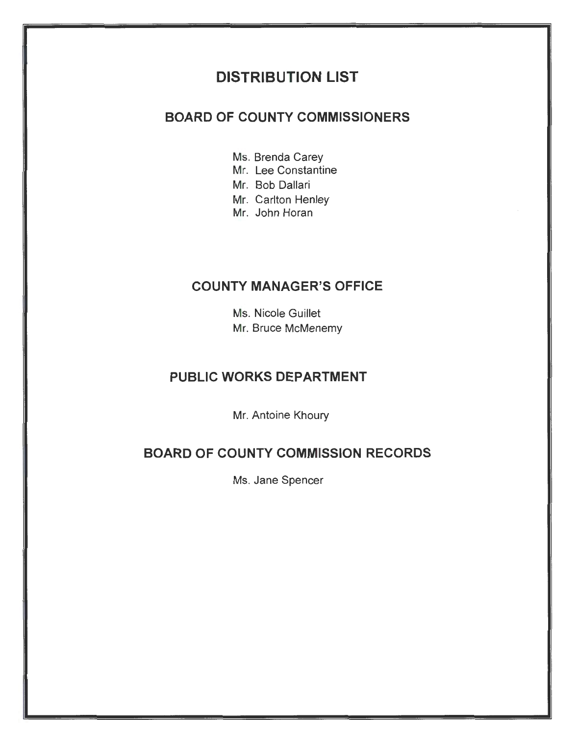## **DISTRIBUTION LIST**

#### **BOARD OF COUNTY COMMISSIONERS**

- Ms. Brenda Carey
- Mr. Lee Constantine
- Mr. Bob Dallari
- Mr. Carlton Henley
- Mr. John Horan

### **COUNTY MANAGER'S OFFICE**

Ms. Nicole Guillet Mr. Bruce McMenemy

### **PUBLIC WORKS DEPARTMENT**

Mr. Antoine Khoury

### **BOARD OF COUNTY COMMISSION RECORDS**

Ms. Jane Spencer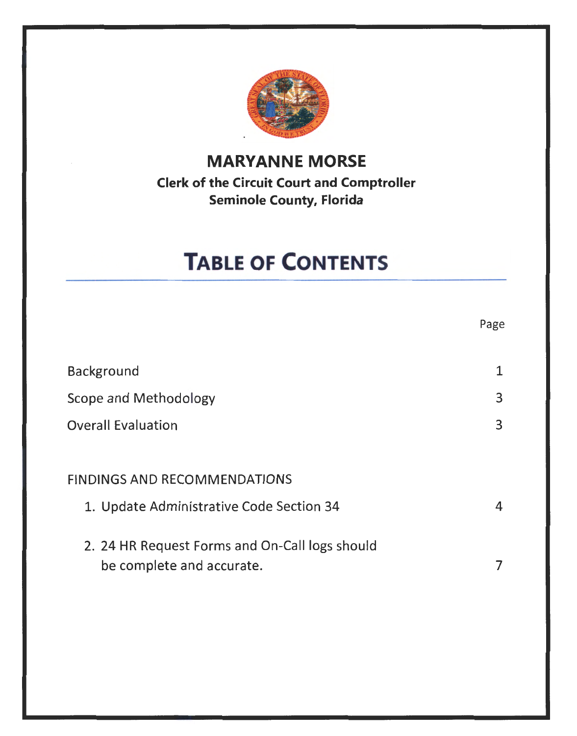

## **MARYANNE MORSE Clerk of the Circuit Court and Comptroller Seminole County, Florida**

# **TABLE OF CONTENTS**

|                                                                             | Page |
|-----------------------------------------------------------------------------|------|
| Background                                                                  | 1    |
| Scope and Methodology                                                       | 3    |
| <b>Overall Evaluation</b>                                                   | 3    |
| <b>FINDINGS AND RECOMMENDATIONS</b>                                         |      |
| 1. Update Administrative Code Section 34                                    | 4    |
| 2. 24 HR Request Forms and On-Call logs should<br>be complete and accurate. |      |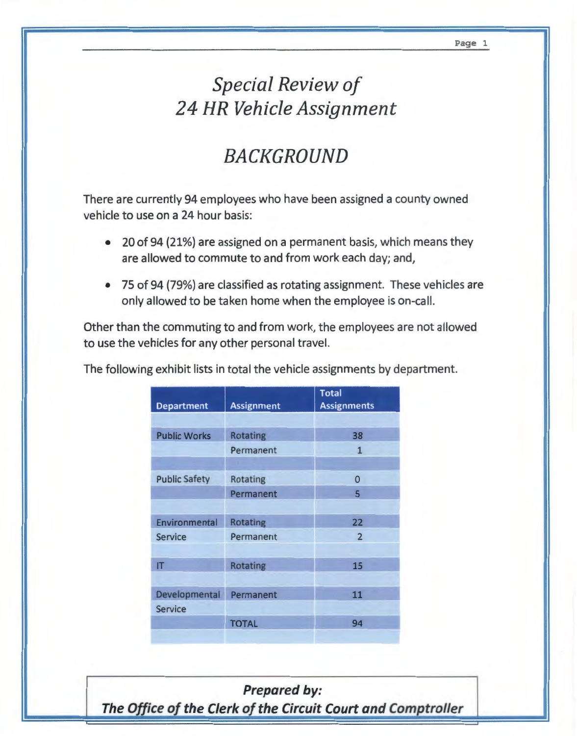## *Special Review of 24 HR Vehicle Assignment*

# *BACKGROUND*

There are currently 94 employees who have been assigned a county owned vehicle to use on a 24 hour basis:

- 20 of 94 (21%} are assigned on a permanent basis, which means they are allowed to commute to and from work each day; and,
- 75 of 94 (79%} are classified as rotating assignment. These vehicles are only allowed to be taken home when the employee is on-call.

Other than the commuting to and from work, the employees are not allowed to use the vehicles for any other personal travel.

| <b>Department</b>         | <b>Assignment</b> | <b>Total</b><br><b>Assignments</b> |
|---------------------------|-------------------|------------------------------------|
|                           |                   |                                    |
| <b>Public Works</b>       | Rotating          | 38                                 |
|                           | Permanent         | $\mathbf{1}$                       |
|                           |                   |                                    |
| <b>Public Safety</b>      | Rotating          | 0                                  |
|                           | Permanent         | 5                                  |
|                           |                   |                                    |
| Environmental             | <b>Rotating</b>   | 22                                 |
| <b>Service</b>            | Permanent         | $\overline{2}$                     |
|                           |                   |                                    |
| $\mathsf{I}^{\mathsf{T}}$ | <b>Rotating</b>   | 15                                 |
|                           |                   |                                    |
| Developmental             | Permanent         | 11                                 |
| Service                   |                   |                                    |
|                           | <b>TOTAL</b>      | 94                                 |
|                           |                   |                                    |

The following exhibit lists in total the vehicle assignments by department.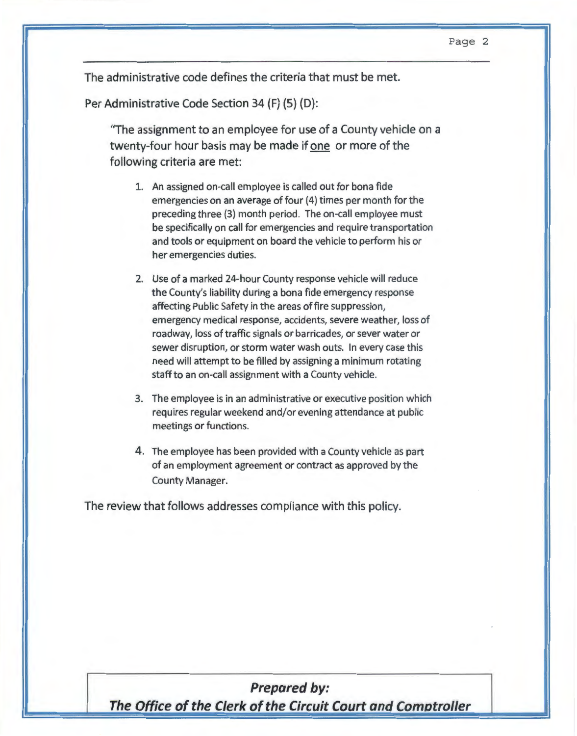The administrative code defines the criteria that must be met.

Per Administrative Code Section 34 (F) (5) (D):

"The assignment to an employee for use of a County vehicle on a twenty-four hour basis may be made if one or more of the following criteria are met:

- 1. An assigned on-call employee is called out for bona fide emergencies on an average of four (4) times per month for the preceding three (3) month period. The on-call employee must be specifically on call for emergencies and require transportation and tools or equipment on board the vehicle to perform his or her emergencies duties.
- 2. Use of a marked 24-hour County response vehicle will reduce the County's liability during a bona fide emergency response affecting Public Safety in the areas of fire suppression, emergency medical response, accidents, severe weather, loss of roadway, loss of traffic signals or barricades, or sever water or sewer disruption, or storm water wash outs. In every case this need will attempt to be filled by assigning a minimum rotating staff to an on-call assignment with a County vehicle.
- 3. The employee is in an administrative or executive position which requires regular weekend and/or evening attendance at public meetings or functions.
- 4. The employee has been provided with a County vehicle as part of an employment agreement or contract as approved by the County Manager.

The review that follows addresses compliance with this policy.

## **Prepared by:**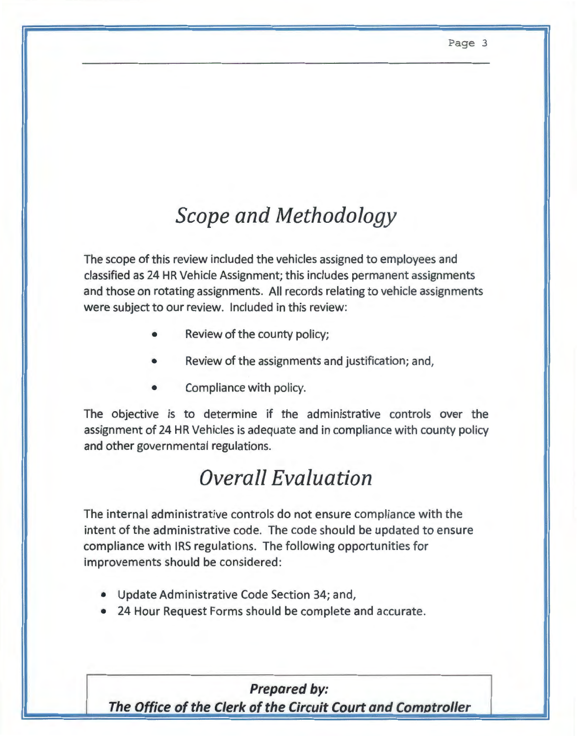# *Scope and Methodology*

The scope of this review included the vehicles assigned to employees and classified as 24 HR Vehicle Assignment; this includes permanent assignments and those on rotating assignments. All records relating to vehicle assignments were subject to our review. Included in this review:

- Review of the county policy;
- Review of the assignments and justification; and,
- Compliance with policy.

The objective is to determine if the administrative controls over the assignment of 24 HR Vehicles is adequate and in compliance with county policy and other governmental regulations.

# *Overall Evaluation*

The internal administrative controls do not ensure compliance with the intent of the administrative code. The code should be updated to ensure compliance with IRS regulations. The following opportunities for improvements should be considered:

- Update Administrative Code Section 34; and,
- 24 Hour Request Forms should be complete and accurate.

### **Prepared by:**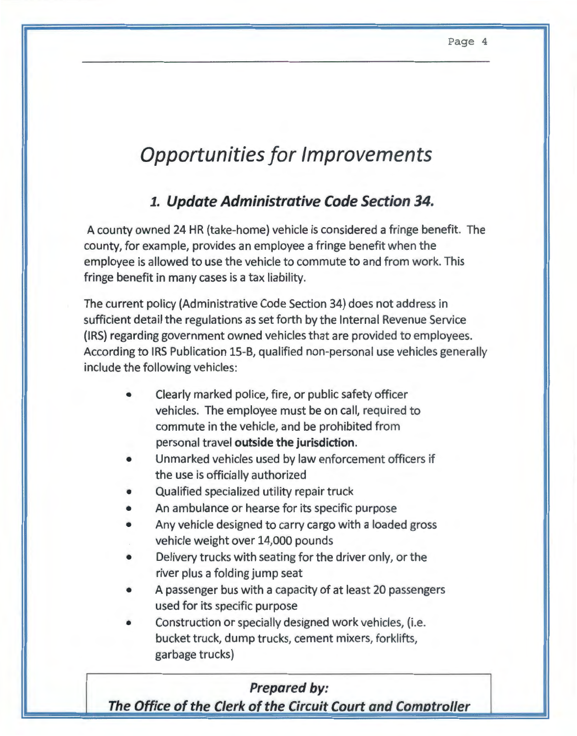# **Opportunities for Improvements**

## *1.* **Update Administrative Code Section 34.**

A county owned 24 HR (take-home) vehicle is considered a fringe benefit. The county, for example, provides an employee a fringe benefit when the employee is allowed to use the vehicle to commute to and from work. This fringe benefit in many cases is a tax liability.

The current policy (Administrative Code Section 34} does not address in sufficient detail the regulations as set forth by the Internal Revenue Service (IRS) regarding government owned vehicles that are provided to employees. According to IRS Publication 15-B, qualified non-personal use vehicles generally include the following vehicles:

- Clearly marked police, fire, or public safety officer vehicles. The employee must be on call, required to commute in the vehicle, and be prohibited from personal travel **outside the jurisdiction.**
- Unmarked vehicles used by law enforcement officers if the use is officially authorized
- Qualified specialized utility repair truck
- An ambulance or hearse for its specific purpose
- Any vehicle designed to carry cargo with a loaded gross vehicle weight over 14,000 pounds
- Delivery trucks with seating for the driver only, or the river plus a folding jump seat
- A passenger bus with a capacity of at least 20 passengers used for its specific purpose
- Construction or specially designed work vehicles, (i.e. bucket truck, dump trucks, cement mixers, forklifts, garbage trucks)

## **Prepared by:**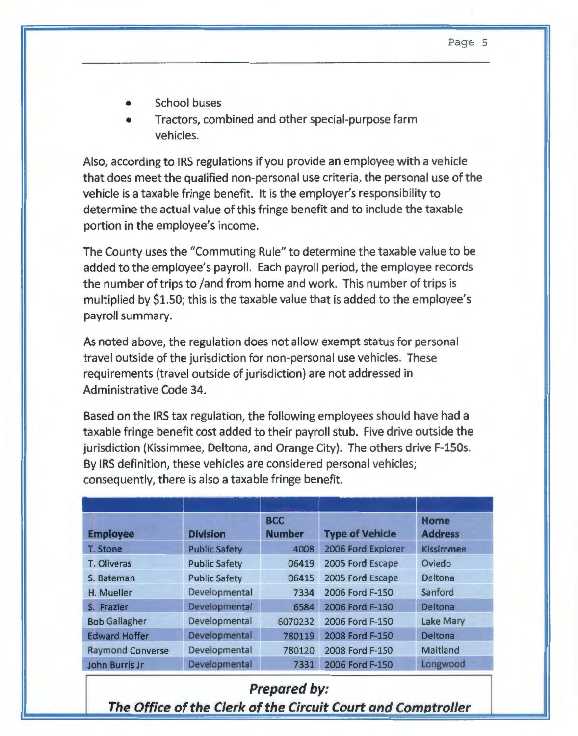- School buses
- Tractors, combined and other special-purpose farm vehicles.

Also, according to IRS regulations if you provide an employee with a vehicle that does meet the qualified non-personal use criteria, the personal use of the vehicle is a taxable fringe benefit. It is the employer's responsibility to determine the actual value of this fringe benefit and to include the taxable portion in the employee's income.

The County uses the "Commuting Rule" to determine the taxable value to be added to the employee's payroll. Each payroll period, the employee records the number of trips to /and from home and work. This number of trips is multiplied by \$1.50; this is the taxable value that is added to the employee's payroll summary.

As noted above, the regulation does not allow exempt status for personal travel outside of the jurisdiction for non-personal use vehicles. These requirements (travel outside of jurisdiction) are not addressed in Administrative Code 34.

Based on the IRS tax regulation, the following employees should have had a taxable fringe benefit cost added to their payroll stub. Five drive outside the jurisdiction (Kissimmee, Deltona, and Orange City). The others drive F-150s. By IRS definition, these vehicles are considered personal vehicles; consequently, there is also a taxable fringe benefit.

| <b>Employee</b>         | <b>Division</b>      | <b>BCC</b><br><b>Number</b> | <b>Type of Vehicle</b> | <b>Home</b><br><b>Address</b> |
|-------------------------|----------------------|-----------------------------|------------------------|-------------------------------|
| T. Stone                | <b>Public Safety</b> | 4008                        | 2006 Ford Explorer     | <b>Kissimmee</b>              |
| T. Oliveras             | <b>Public Safety</b> | 06419                       | 2005 Ford Escape       | Oviedo                        |
| S. Bateman              | <b>Public Safety</b> | 06415                       | 2005 Ford Escape       | Deltona                       |
| H. Mueller              | Developmental        | 7334                        | 2006 Ford F-150        | Sanford                       |
| S. Frazier              | Developmental        | 6584                        | 2006 Ford F-150        | Deltona                       |
| <b>Bob Gallagher</b>    | Developmental        | 6070232                     | 2006 Ford F-150        | <b>Lake Mary</b>              |
| <b>Edward Hoffer</b>    | Developmental        | 780119                      | 2008 Ford F-150        | <b>Deltona</b>                |
| <b>Raymond Converse</b> | Developmental        | 780120                      | 2008 Ford F-150        | Maitland                      |
| John Burris Jr          | Developmental        | 7331                        | 2006 Ford F-150        | Longwood                      |
|                         |                      |                             |                        |                               |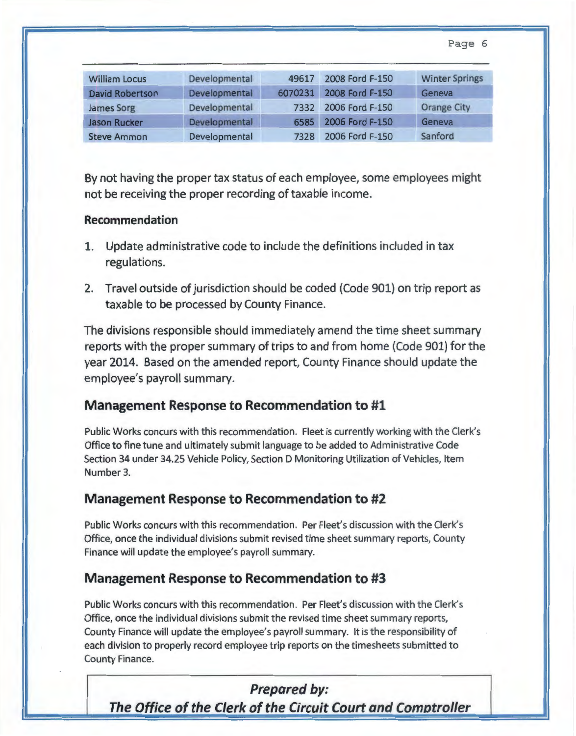Page 6

| <b>William Locus</b>   | Developmental | 49617   | 2008 Ford F-150 | <b>Winter Springs</b> |
|------------------------|---------------|---------|-----------------|-----------------------|
| <b>David Robertson</b> | Developmental | 6070231 | 2008 Ford F-150 | Geneva                |
| James Sorg             | Developmental | 7332    | 2006 Ford F-150 | <b>Orange City</b>    |
| <b>Jason Rucker</b>    | Developmental | 6585    | 2006 Ford F-150 | Geneva                |
| <b>Steve Ammon</b>     | Developmental | 7328    | 2006 Ford F-150 | Sanford               |

By not having the proper tax status of each employee, some employees might not be receiving the proper recording of taxable income.

#### **Recommendation**

- 1. Update administrative code to include the definitions included in tax regulations.
- 2. Travel outside of jurisdiction should be coded (Code 901) on trip report as taxable to be processed by County Finance.

The divisions responsible should immediately amend the time sheet summary reports with the proper summary of trips to and from home (Code 901) for the year 2014. Based on the amended report, County Finance should update the employee's payroll summary.

#### **Management Response to Recommendation to #1**

Public Works concurs with this recommendation. Fleet is currently working with the Clerk's Office to fine tune and ultimately submit language to be added to Administrative Code Section 34 under 34.25 Vehicle Policy, Section D Monitoring Utilization of Vehicles, Item Number 3.

### **Management Response to Recommendation to #2**

Public Works concurs with this recommendation. Per Fleet's discussion with the Clerk's Office, once the individual divisions submit revised time sheet summary reports, County Finance will update the employee's payroll summary.

### **Management Response to Recommendation to #3**

Public Works concurs with this recommendation. Per Fleet's discussion with the Clerk's Office, once the individual divisions submit the revised time sheet summary reports, County Finance will update the employee's payroll summary. It is the responsibility of each division to properly record employee trip reports on the timesheets submitted to County Finance.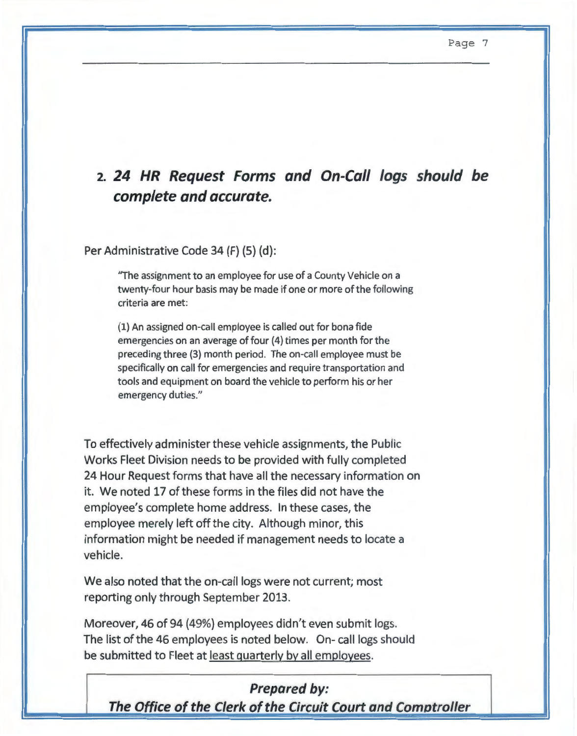## **2. 24 HR Request Forms and On-Call logs should be complete and accurate.**

Per Administrative Code 34 (F) (5) (d):

"The assignment to an employee for use of a County Vehicle on a twenty-four hour basis may be made if one or more of the following criteria are met:

(1) An assigned on-call employee is called out for bona fide emergencies on an average of four (4) times per month for the preceding three (3} month period. The on-call employee must be specifically on call for emergencies and require transportation and tools and equipment on board the vehicle to perform his or her emergency duties."

To effectively administer these vehicle assignments, the Public Works Fleet Division needs to be provided with fully completed 24 Hour Request forms that have all the necessary information on it. We noted 17 of these forms in the files did not have the employee's complete home address. In these cases, the employee merely left off the city. Although minor, this information might be needed if management needs to locate a vehicle.

We also noted that the on-call logs were not current; most reporting only through September 2013.

Moreover, 46 of 94 (49%) employees didn't even submit logs. The list of the 46 employees is noted below. On- call logs should be submitted to Fleet at least quarterly by all employees.

#### **Prepared by:**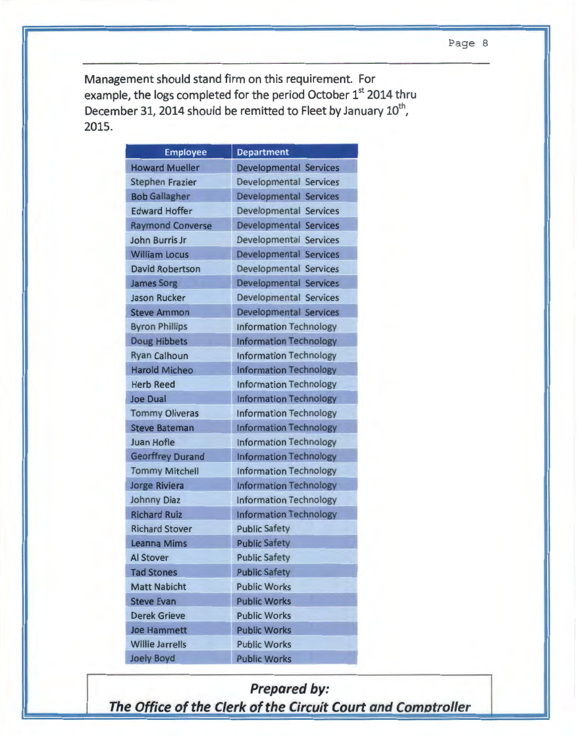Management should stand firm on this requirement. For example, the logs completed for the period October 1st 2014 thru December 31, 2014 should be remitted to Fleet by January 10<sup>th</sup>, 2015.

| <b>Employee</b>         | <b>Department</b>             |
|-------------------------|-------------------------------|
| <b>Howard Mueller</b>   | <b>Developmental Services</b> |
| <b>Stephen Frazier</b>  | Developmental Services        |
| <b>Bob Gallagher</b>    | <b>Developmental Services</b> |
| <b>Edward Hoffer</b>    | <b>Developmental Services</b> |
| <b>Raymond Converse</b> | <b>Developmental Services</b> |
| John Burris Jr          | <b>Developmental Services</b> |
| <b>William Locus</b>    | <b>Developmental Services</b> |
| <b>David Robertson</b>  | Developmental Services        |
| <b>James Sorg</b>       | Developmental Services        |
| <b>Jason Rucker</b>     | Developmental Services        |
| <b>Steve Ammon</b>      | Developmental Services        |
| <b>Byron Phillips</b>   | <b>Information Technology</b> |
| <b>Doug Hibbets</b>     | <b>Information Technology</b> |
| <b>Ryan Calhoun</b>     | <b>Information Technology</b> |
| <b>Harold Micheo</b>    | <b>Information Technology</b> |
| <b>Herb Reed</b>        | <b>Information Technology</b> |
| <b>Joe Dual</b>         | <b>Information Technology</b> |
| <b>Tommy Oliveras</b>   | <b>Information Technology</b> |
| <b>Steve Bateman</b>    | <b>Information Technology</b> |
| <b>Juan Hofle</b>       | <b>Information Technology</b> |
| <b>Georffrey Durand</b> | <b>Information Technology</b> |
| <b>Tommy Mitchell</b>   | <b>Information Technology</b> |
| <b>Jorge Riviera</b>    | <b>Information Technology</b> |
| <b>Johnny Diaz</b>      | <b>Information Technology</b> |
| <b>Richard Ruiz</b>     | <b>Information Technology</b> |
| <b>Richard Stover</b>   | <b>Public Safety</b>          |
| <b>Leanna Mims</b>      | <b>Public Safety</b>          |
| <b>Al Stover</b>        | <b>Public Safety</b>          |
| <b>Tad Stones</b>       | <b>Public Safety</b>          |
| <b>Matt Nabicht</b>     | <b>Public Works</b>           |
| <b>Steve Evan</b>       | <b>Public Works</b>           |
| <b>Derek Grieve</b>     | <b>Public Works</b>           |
| <b>Joe Hammett</b>      | <b>Public Works</b>           |
| <b>Willie Jarrells</b>  | <b>Public Works</b>           |
| Joely Boyd              | <b>Public Works</b>           |